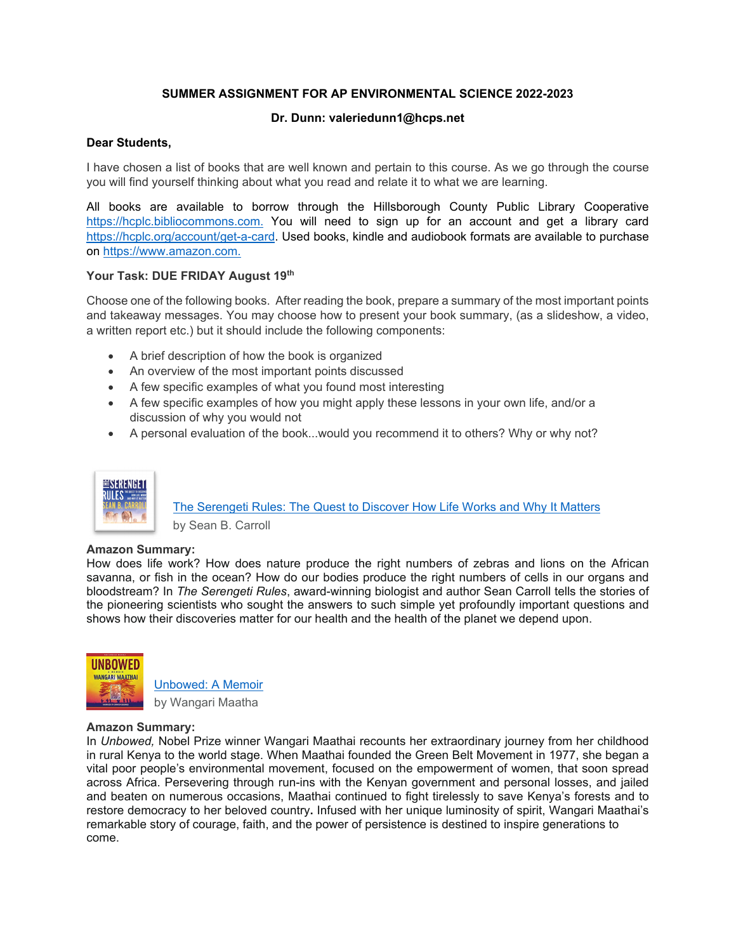# **SUMMER ASSIGNMENT FOR AP ENVIRONMENTAL SCIENCE 2022-2023**

## **Dr. Dunn: valeriedunn1@hcps.net**

## **Dear Students,**

I have chosen a list of books that are well known and pertain to this course. As we go through the course you will find yourself thinking about what you read and relate it to what we are learning.

All books are available to borrow through the Hillsborough County Public Library Cooperative https://hcplc.bibliocommons.com. You will need to sign up for an account and get a library card https://hcplc.org/account/get-a-card. Used books, kindle and audiobook formats are available to purchase on https://www.amazon.com.

### **Your Task: DUE FRIDAY August 19th**

Choose one of the following books. After reading the book, prepare a summary of the most important points and takeaway messages. You may choose how to present your book summary, (as a slideshow, a video, a written report etc.) but it should include the following components:

- A brief description of how the book is organized
- An overview of the most important points discussed
- A few specific examples of what you found most interesting
- A few specific examples of how you might apply these lessons in your own life, and/or a discussion of why you would not
- A personal evaluation of the book...would you recommend it to others? Why or why not?



The Serengeti Rules: The Quest to Discover How Life Works and Why It Matters by Sean B. Carroll

### **Amazon Summary:**

How does life work? How does nature produce the right numbers of zebras and lions on the African savanna, or fish in the ocean? How do our bodies produce the right numbers of cells in our organs and bloodstream? In *The Serengeti Rules*, award-winning biologist and author Sean Carroll tells the stories of the pioneering scientists who sought the answers to such simple yet profoundly important questions and shows how their discoveries matter for our health and the health of the planet we depend upon.



Unbowed: A Memoir by Wangari Maatha

### **Amazon Summary:**

In *Unbowed,* Nobel Prize winner Wangari Maathai recounts her extraordinary journey from her childhood in rural Kenya to the world stage. When Maathai founded the Green Belt Movement in 1977, she began a vital poor people's environmental movement, focused on the empowerment of women, that soon spread across Africa. Persevering through run-ins with the Kenyan government and personal losses, and jailed and beaten on numerous occasions, Maathai continued to fight tirelessly to save Kenya's forests and to restore democracy to her beloved country**.** Infused with her unique luminosity of spirit, Wangari Maathai's remarkable story of courage, faith, and the power of persistence is destined to inspire generations to come.